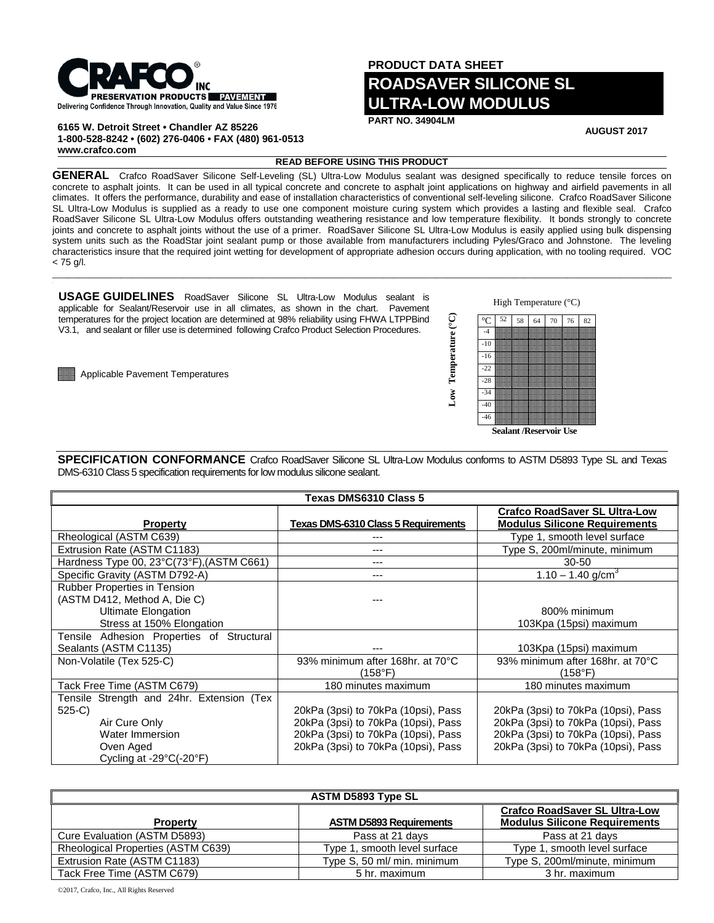

**6165 W. Detroit Street • Chandler AZ 85226 1-800-528-8242 • (602) 276-0406 • FAX (480) 961-0513 www.crafco.com**

**PRODUCT DATA SHEET ROADSAVER SILICONE SL ULTRA-LOW MODULUS** 

**PART NO. 34904LM**

**AUGUST 2017**

## **READ BEFORE USING THIS PRODUCT**

GENERAL Crafco RoadSaver Silicone Self-Leveling (SL) Ultra-Low Modulus sealant was designed specifically to reduce tensile forces on concrete to asphalt joints. It can be used in all typical concrete and concrete to asphalt joint applications on highway and airfield pavements in all climates. It offers the performance, durability and ease of installation characteristics of conventional self-leveling silicone. Crafco RoadSaver Silicone SL Ultra-Low Modulus is supplied as a ready to use one component moisture curing system which provides a lasting and flexible seal. Crafco RoadSaver Silicone SL Ultra-Low Modulus offers outstanding weathering resistance and low temperature flexibility. It bonds strongly to concrete joints and concrete to asphalt joints without the use of a primer. RoadSaver Silicone SL Ultra-Low Modulus is easily applied using bulk dispensing system units such as the RoadStar joint sealant pump or those available from manufacturers including Pyles/Graco and Johnstone. The leveling characteristics insure that the required joint wetting for development of appropriate adhesion occurs during application, with no tooling required. VOC  $< 75$  g/l.

 $\Box$ 

**USAGE GUIDELINES** RoadSaver Silicone SL Ultra-Low Modulus sealant is applicable for Sealant/Reservoir use in all climates, as shown in the chart. Pavement temperatures for the project location are determined at 98% reliability using FHWA LTPPBind V3.1, and sealant or filler use is determined following Crafco Product Selection Procedures.

**Applicable Pavement Temperatures** 



**SPECIFICATION CONFORMANCE** Crafco RoadSaver Silicone SL Ultra-Low Modulus conforms to ASTM D5893 Type SL and Texas DMS-6310 Class 5 specification requirements for low modulus silicone sealant.

| Texas DMS6310 Class 5                                                                                                   |                                             |                                                                              |  |
|-------------------------------------------------------------------------------------------------------------------------|---------------------------------------------|------------------------------------------------------------------------------|--|
| <b>Property</b>                                                                                                         | <b>Texas DMS-6310 Class 5 Requirements</b>  | <b>Crafco RoadSaver SL Ultra-Low</b><br><b>Modulus Silicone Requirements</b> |  |
| Rheological (ASTM C639)                                                                                                 |                                             | Type 1, smooth level surface                                                 |  |
| Extrusion Rate (ASTM C1183)                                                                                             |                                             | Type S, 200ml/minute, minimum                                                |  |
| Hardness Type 00, 23°C(73°F), (ASTM C661)                                                                               | ---                                         | $30 - 50$                                                                    |  |
| Specific Gravity (ASTM D792-A)                                                                                          |                                             | 1.10 – 1.40 g/cm <sup>3</sup>                                                |  |
| Rubber Properties in Tension<br>(ASTM D412, Method A, Die C)<br><b>Ultimate Elongation</b><br>Stress at 150% Elongation |                                             | 800% minimum<br>103Kpa (15psi) maximum                                       |  |
| Tensile Adhesion Properties of Structural                                                                               |                                             |                                                                              |  |
| Sealants (ASTM C1135)                                                                                                   |                                             | 103Kpa (15psi) maximum                                                       |  |
| Non-Volatile (Tex 525-C)                                                                                                | 93% minimum after 168hr. at 70°C<br>(158°F) | 93% minimum after 168hr. at 70°C<br>(158°F)                                  |  |
| Tack Free Time (ASTM C679)                                                                                              | 180 minutes maximum                         | 180 minutes maximum                                                          |  |
| Tensile Strength and 24hr. Extension (Tex                                                                               |                                             |                                                                              |  |
| 525-C)                                                                                                                  | 20kPa (3psi) to 70kPa (10psi), Pass         | 20kPa (3psi) to 70kPa (10psi), Pass                                          |  |
| Air Cure Only                                                                                                           | 20kPa (3psi) to 70kPa (10psi), Pass         | 20kPa (3psi) to 70kPa (10psi), Pass                                          |  |
| Water Immersion                                                                                                         | 20kPa (3psi) to 70kPa (10psi), Pass         | 20kPa (3psi) to 70kPa (10psi), Pass                                          |  |
| Oven Aged<br>Cycling at -29 $\textdegree$ C(-20 $\textdegree$ F)                                                        | 20kPa (3psi) to 70kPa (10psi), Pass         | 20kPa (3psi) to 70kPa (10psi), Pass                                          |  |

| <b>ASTM D5893 Type SL</b>          |                                |                                                                              |  |
|------------------------------------|--------------------------------|------------------------------------------------------------------------------|--|
| <b>Property</b>                    | <b>ASTM D5893 Requirements</b> | <b>Crafco RoadSaver SL Ultra-Low</b><br><b>Modulus Silicone Requirements</b> |  |
| Cure Evaluation (ASTM D5893)       | Pass at 21 days                | Pass at 21 days                                                              |  |
| Rheological Properties (ASTM C639) | Type 1, smooth level surface   | Type 1, smooth level surface                                                 |  |
| Extrusion Rate (ASTM C1183)        | Type S, 50 ml/ min. minimum    | Type S, 200ml/minute, minimum                                                |  |
| Tack Free Time (ASTM C679)         | 5 hr. maximum                  | 3 hr. maximum                                                                |  |